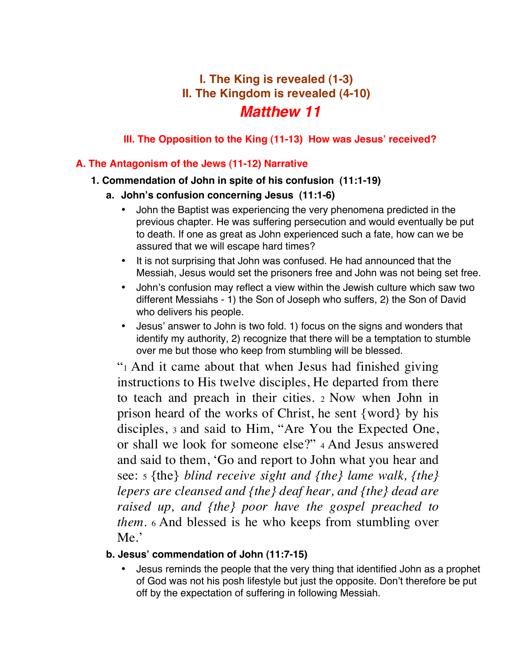# **I. The King is revealed (1-3) II. The Kingdom is revealed (4-10)** *Matthew 11*

### **III. The Opposition to the King (11-13) How was Jesus' received?**

#### **A. The Antagonism of the Jews (11-12) Narrative**

#### **1. Commendation of John in spite of his confusion (11:1-19)**

- **a. John's confusion concerning Jesus (11:1-6)** 
	- John the Baptist was experiencing the very phenomena predicted in the previous chapter. He was suffering persecution and would eventually be put to death. If one as great as John experienced such a fate, how can we be assured that we will escape hard times?
	- It is not surprising that John was confused. He had announced that the Messiah, Jesus would set the prisoners free and John was not being set free.
	- John's confusion may reflect a view within the Jewish culture which saw two different Messiahs - 1) the Son of Joseph who suffers, 2) the Son of David who delivers his people.
	- Jesus' answer to John is two fold. 1) focus on the signs and wonders that identify my authority, 2) recognize that there will be a temptation to stumble over me but those who keep from stumbling will be blessed.

"1 And it came about that when Jesus had finished giving instructions to His twelve disciples, He departed from there to teach and preach in their cities. 2 Now when John in prison heard of the works of Christ, he sent {word} by his disciples, 3 and said to Him, "Are You the Expected One, or shall we look for someone else?" 4 And Jesus answered and said to them, 'Go and report to John what you hear and see: 5 {the} *blind receive sight and {the} lame walk, {the} lepers are cleansed and {the} deaf hear, and {the} dead are raised up, and {the} poor have the gospel preached to them*. 6 And blessed is he who keeps from stumbling over Me.'

### **b. Jesus' commendation of John (11:7-15)**

• Jesus reminds the people that the very thing that identified John as a prophet of God was not his posh lifestyle but just the opposite. Don't therefore be put off by the expectation of suffering in following Messiah.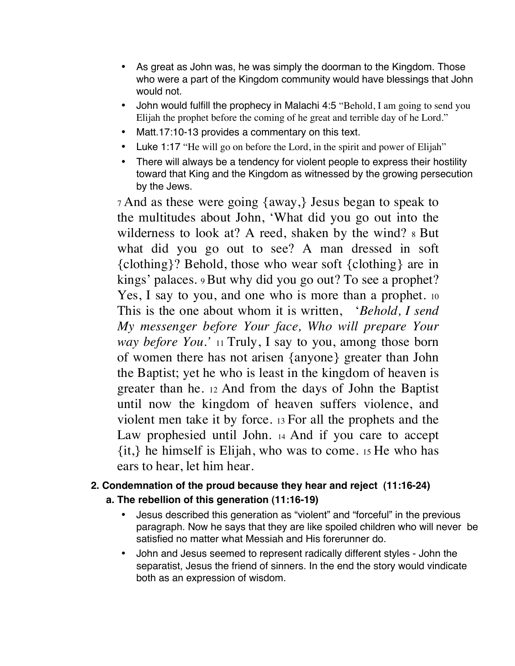- As great as John was, he was simply the doorman to the Kingdom. Those who were a part of the Kingdom community would have blessings that John would not.
- John would fulfill the prophecy in Malachi 4:5 "Behold, I am going to send you Elijah the prophet before the coming of he great and terrible day of he Lord."
- Matt.17:10-13 provides a commentary on this text.
- Luke 1:17 "He will go on before the Lord, in the spirit and power of Elijah"
- There will always be a tendency for violent people to express their hostility toward that King and the Kingdom as witnessed by the growing persecution by the Jews.

7 And as these were going {away,} Jesus began to speak to the multitudes about John, 'What did you go out into the wilderness to look at? A reed, shaken by the wind? 8 But what did you go out to see? A man dressed in soft {clothing}? Behold, those who wear soft {clothing} are in kings' palaces. 9 But why did you go out? To see a prophet? Yes, I say to you, and one who is more than a prophet. 10 This is the one about whom it is written, '*Behold, I send My messenger before Your face, Who will prepare Your way before You.'* 11 Truly, I say to you, among those born of women there has not arisen {anyone} greater than John the Baptist; yet he who is least in the kingdom of heaven is greater than he. 12 And from the days of John the Baptist until now the kingdom of heaven suffers violence, and violent men take it by force. 13 For all the prophets and the Law prophesied until John. 14 And if you care to accept  $\{it\}$  he himself is Elijah, who was to come. 15 He who has ears to hear, let him hear.

### **2. Condemnation of the proud because they hear and reject (11:16-24) a. The rebellion of this generation (11:16-19)**

- Jesus described this generation as "violent" and "forceful" in the previous paragraph. Now he says that they are like spoiled children who will never be satisfied no matter what Messiah and His forerunner do.
- John and Jesus seemed to represent radically different styles John the separatist, Jesus the friend of sinners. In the end the story would vindicate both as an expression of wisdom.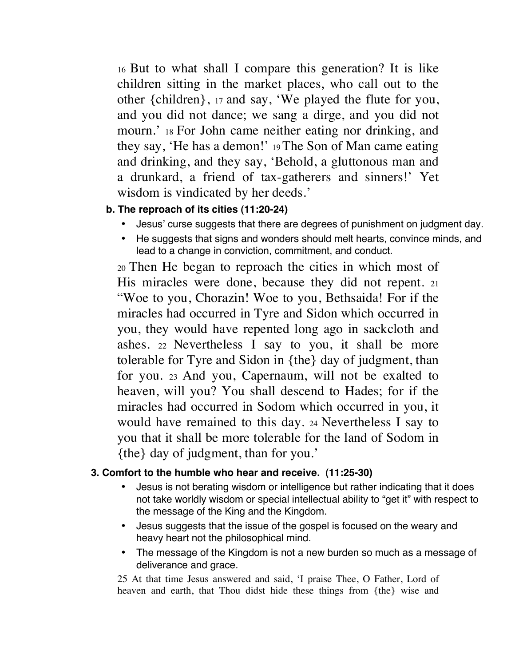16 But to what shall I compare this generation? It is like children sitting in the market places, who call out to the other {children}, 17 and say, 'We played the flute for you, and you did not dance; we sang a dirge, and you did not mourn.' 18 For John came neither eating nor drinking, and they say, 'He has a demon!' 19 The Son of Man came eating and drinking, and they say, 'Behold, a gluttonous man and a drunkard, a friend of tax-gatherers and sinners!' Yet wisdom is vindicated by her deeds.'

## **b. The reproach of its cities (11:20-24)**

- Jesus' curse suggests that there are degrees of punishment on judgment day.
- He suggests that signs and wonders should melt hearts, convince minds, and lead to a change in conviction, commitment, and conduct.

20 Then He began to reproach the cities in which most of His miracles were done, because they did not repent. 21 "Woe to you, Chorazin! Woe to you, Bethsaida! For if the miracles had occurred in Tyre and Sidon which occurred in you, they would have repented long ago in sackcloth and ashes. 22 Nevertheless I say to you, it shall be more tolerable for Tyre and Sidon in {the} day of judgment, than for you. 23 And you, Capernaum, will not be exalted to heaven, will you? You shall descend to Hades; for if the miracles had occurred in Sodom which occurred in you, it would have remained to this day. 24 Nevertheless I say to you that it shall be more tolerable for the land of Sodom in {the} day of judgment, than for you.'

### **3. Comfort to the humble who hear and receive. (11:25-30)**

- Jesus is not berating wisdom or intelligence but rather indicating that it does not take worldly wisdom or special intellectual ability to "get it" with respect to the message of the King and the Kingdom.
- Jesus suggests that the issue of the gospel is focused on the weary and heavy heart not the philosophical mind.
- The message of the Kingdom is not a new burden so much as a message of deliverance and grace.

25 At that time Jesus answered and said, 'I praise Thee, O Father, Lord of heaven and earth, that Thou didst hide these things from {the} wise and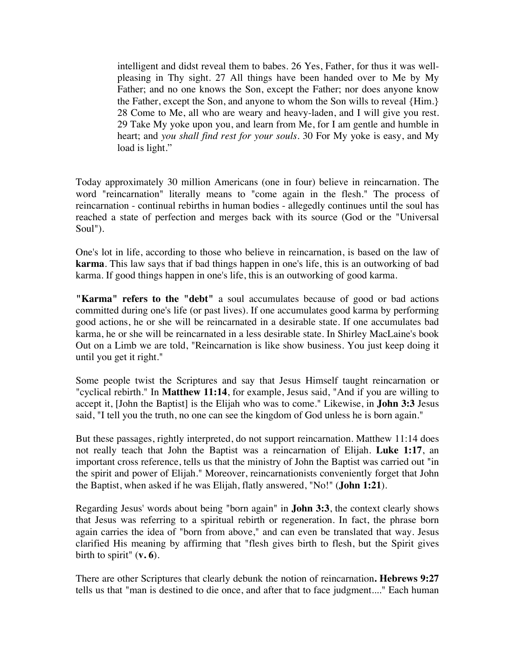intelligent and didst reveal them to babes. 26 Yes, Father, for thus it was wellpleasing in Thy sight. 27 All things have been handed over to Me by My Father; and no one knows the Son, except the Father; nor does anyone know the Father, except the Son, and anyone to whom the Son wills to reveal {Him.} 28 Come to Me, all who are weary and heavy-laden, and I will give you rest. 29 Take My yoke upon you, and learn from Me, for I am gentle and humble in heart; and *you shall find rest for your souls*. 30 For My yoke is easy, and My load is light."

Today approximately 30 million Americans (one in four) believe in reincarnation. The word "reincarnation" literally means to "come again in the flesh." The process of reincarnation - continual rebirths in human bodies - allegedly continues until the soul has reached a state of perfection and merges back with its source (God or the "Universal Soul").

One's lot in life, according to those who believe in reincarnation, is based on the law of **karma**. This law says that if bad things happen in one's life, this is an outworking of bad karma. If good things happen in one's life, this is an outworking of good karma.

**"Karma" refers to the "debt"** a soul accumulates because of good or bad actions committed during one's life (or past lives). If one accumulates good karma by performing good actions, he or she will be reincarnated in a desirable state. If one accumulates bad karma, he or she will be reincarnated in a less desirable state. In Shirley MacLaine's book Out on a Limb we are told, "Reincarnation is like show business. You just keep doing it until you get it right."

Some people twist the Scriptures and say that Jesus Himself taught reincarnation or "cyclical rebirth." In **Matthew 11:14**, for example, Jesus said, "And if you are willing to accept it, [John the Baptist] is the Elijah who was to come." Likewise, in **John 3:3** Jesus said, "I tell you the truth, no one can see the kingdom of God unless he is born again."

But these passages, rightly interpreted, do not support reincarnation. Matthew 11:14 does not really teach that John the Baptist was a reincarnation of Elijah. **Luke 1:17**, an important cross reference, tells us that the ministry of John the Baptist was carried out "in the spirit and power of Elijah." Moreover, reincarnationists conveniently forget that John the Baptist, when asked if he was Elijah, flatly answered, "No!" (**John 1:21**).

Regarding Jesus' words about being "born again" in **John 3:3**, the context clearly shows that Jesus was referring to a spiritual rebirth or regeneration. In fact, the phrase born again carries the idea of "born from above," and can even be translated that way. Jesus clarified His meaning by affirming that "flesh gives birth to flesh, but the Spirit gives birth to spirit" (**v. 6**).

There are other Scriptures that clearly debunk the notion of reincarnation**. Hebrews 9:27**  tells us that "man is destined to die once, and after that to face judgment...." Each human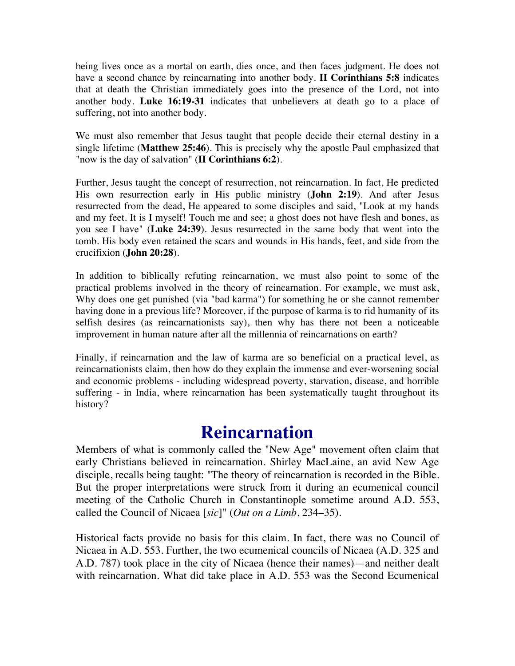being lives once as a mortal on earth, dies once, and then faces judgment. He does not have a second chance by reincarnating into another body. **II Corinthians 5:8** indicates that at death the Christian immediately goes into the presence of the Lord, not into another body. **Luke 16:19-31** indicates that unbelievers at death go to a place of suffering, not into another body.

We must also remember that Jesus taught that people decide their eternal destiny in a single lifetime (**Matthew 25:46**). This is precisely why the apostle Paul emphasized that "now is the day of salvation" (**II Corinthians 6:2**).

Further, Jesus taught the concept of resurrection, not reincarnation. In fact, He predicted His own resurrection early in His public ministry (**John 2:19**). And after Jesus resurrected from the dead, He appeared to some disciples and said, "Look at my hands and my feet. It is I myself! Touch me and see; a ghost does not have flesh and bones, as you see I have" (**Luke 24:39**). Jesus resurrected in the same body that went into the tomb. His body even retained the scars and wounds in His hands, feet, and side from the crucifixion (**John 20:28**).

In addition to biblically refuting reincarnation, we must also point to some of the practical problems involved in the theory of reincarnation. For example, we must ask, Why does one get punished (via "bad karma") for something he or she cannot remember having done in a previous life? Moreover, if the purpose of karma is to rid humanity of its selfish desires (as reincarnationists say), then why has there not been a noticeable improvement in human nature after all the millennia of reincarnations on earth?

Finally, if reincarnation and the law of karma are so beneficial on a practical level, as reincarnationists claim, then how do they explain the immense and ever-worsening social and economic problems - including widespread poverty, starvation, disease, and horrible suffering - in India, where reincarnation has been systematically taught throughout its history?

# **Reincarnation**

Members of what is commonly called the "New Age" movement often claim that early Christians believed in reincarnation. Shirley MacLaine, an avid New Age disciple, recalls being taught: "The theory of reincarnation is recorded in the Bible. But the proper interpretations were struck from it during an ecumenical council meeting of the Catholic Church in Constantinople sometime around A.D. 553, called the Council of Nicaea [*sic*]" (*Out on a Limb*, 234–35).

Historical facts provide no basis for this claim. In fact, there was no Council of Nicaea in A.D. 553. Further, the two ecumenical councils of Nicaea (A.D. 325 and A.D. 787) took place in the city of Nicaea (hence their names)—and neither dealt with reincarnation. What did take place in A.D. 553 was the Second Ecumenical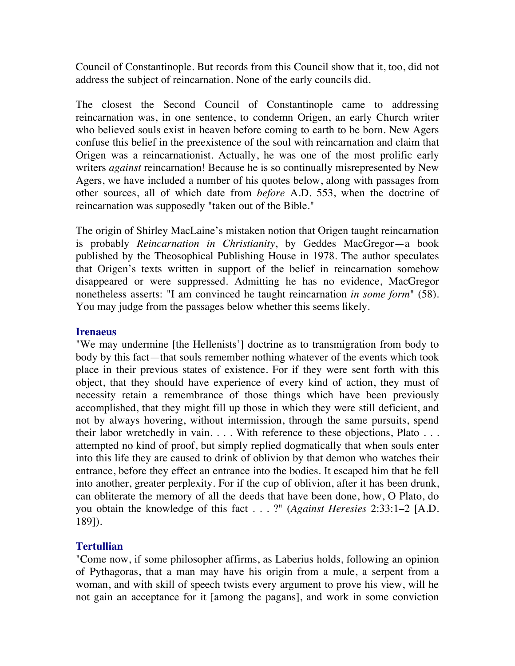Council of Constantinople. But records from this Council show that it, too, did not address the subject of reincarnation. None of the early councils did.

The closest the Second Council of Constantinople came to addressing reincarnation was, in one sentence, to condemn Origen, an early Church writer who believed souls exist in heaven before coming to earth to be born. New Agers confuse this belief in the preexistence of the soul with reincarnation and claim that Origen was a reincarnationist. Actually, he was one of the most prolific early writers *against* reincarnation! Because he is so continually misrepresented by New Agers, we have included a number of his quotes below, along with passages from other sources, all of which date from *before* A.D. 553, when the doctrine of reincarnation was supposedly "taken out of the Bible."

The origin of Shirley MacLaine's mistaken notion that Origen taught reincarnation is probably *Reincarnation in Christianity*, by Geddes MacGregor—a book published by the Theosophical Publishing House in 1978. The author speculates that Origen's texts written in support of the belief in reincarnation somehow disappeared or were suppressed. Admitting he has no evidence, MacGregor nonetheless asserts: "I am convinced he taught reincarnation *in some form*" (58). You may judge from the passages below whether this seems likely.

#### **Irenaeus**

"We may undermine [the Hellenists'] doctrine as to transmigration from body to body by this fact—that souls remember nothing whatever of the events which took place in their previous states of existence. For if they were sent forth with this object, that they should have experience of every kind of action, they must of necessity retain a remembrance of those things which have been previously accomplished, that they might fill up those in which they were still deficient, and not by always hovering, without intermission, through the same pursuits, spend their labor wretchedly in vain. . . . With reference to these objections, Plato . . . attempted no kind of proof, but simply replied dogmatically that when souls enter into this life they are caused to drink of oblivion by that demon who watches their entrance, before they effect an entrance into the bodies. It escaped him that he fell into another, greater perplexity. For if the cup of oblivion, after it has been drunk, can obliterate the memory of all the deeds that have been done, how, O Plato, do you obtain the knowledge of this fact . . . ?" (*Against Heresies* 2:33:1–2 [A.D. 189]).

### **Tertullian**

"Come now, if some philosopher affirms, as Laberius holds, following an opinion of Pythagoras, that a man may have his origin from a mule, a serpent from a woman, and with skill of speech twists every argument to prove his view, will he not gain an acceptance for it [among the pagans], and work in some conviction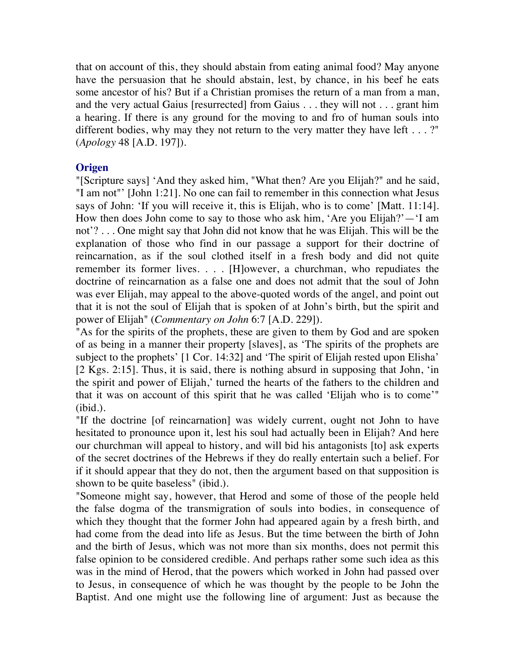that on account of this, they should abstain from eating animal food? May anyone have the persuasion that he should abstain, lest, by chance, in his beef he eats some ancestor of his? But if a Christian promises the return of a man from a man, and the very actual Gaius [resurrected] from Gaius . . . they will not . . . grant him a hearing. If there is any ground for the moving to and fro of human souls into different bodies, why may they not return to the very matter they have left . . . ?" (*Apology* 48 [A.D. 197]).

### **Origen**

"[Scripture says] 'And they asked him, "What then? Are you Elijah?" and he said, "I am not"' [John 1:21]. No one can fail to remember in this connection what Jesus says of John: 'If you will receive it, this is Elijah, who is to come' [Matt. 11:14]. How then does John come to say to those who ask him, 'Are you Elijah?'—'I am not'? . . . One might say that John did not know that he was Elijah. This will be the explanation of those who find in our passage a support for their doctrine of reincarnation, as if the soul clothed itself in a fresh body and did not quite remember its former lives. . . . [H]owever, a churchman, who repudiates the doctrine of reincarnation as a false one and does not admit that the soul of John was ever Elijah, may appeal to the above-quoted words of the angel, and point out that it is not the soul of Elijah that is spoken of at John's birth, but the spirit and power of Elijah" (*Commentary on John* 6:7 [A.D. 229]).

"As for the spirits of the prophets, these are given to them by God and are spoken of as being in a manner their property [slaves], as 'The spirits of the prophets are subject to the prophets' [1 Cor. 14:32] and 'The spirit of Elijah rested upon Elisha' [2 Kgs. 2:15]. Thus, it is said, there is nothing absurd in supposing that John, 'in the spirit and power of Elijah,' turned the hearts of the fathers to the children and that it was on account of this spirit that he was called 'Elijah who is to come'" (ibid.).

"If the doctrine [of reincarnation] was widely current, ought not John to have hesitated to pronounce upon it, lest his soul had actually been in Elijah? And here our churchman will appeal to history, and will bid his antagonists [to] ask experts of the secret doctrines of the Hebrews if they do really entertain such a belief. For if it should appear that they do not, then the argument based on that supposition is shown to be quite baseless" (ibid.).

"Someone might say, however, that Herod and some of those of the people held the false dogma of the transmigration of souls into bodies, in consequence of which they thought that the former John had appeared again by a fresh birth, and had come from the dead into life as Jesus. But the time between the birth of John and the birth of Jesus, which was not more than six months, does not permit this false opinion to be considered credible. And perhaps rather some such idea as this was in the mind of Herod, that the powers which worked in John had passed over to Jesus, in consequence of which he was thought by the people to be John the Baptist. And one might use the following line of argument: Just as because the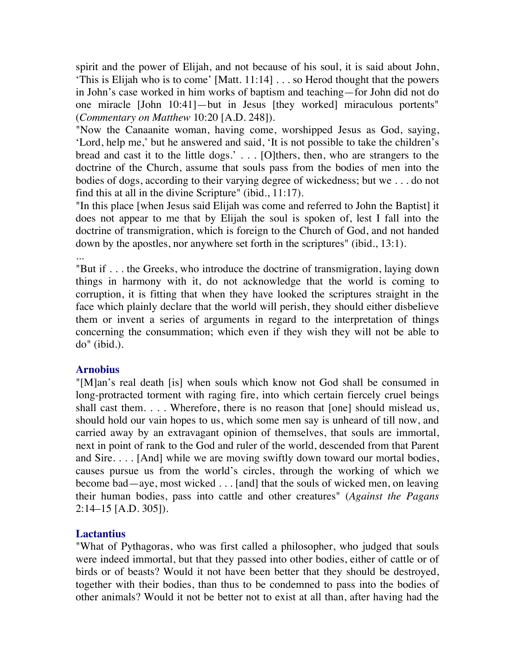spirit and the power of Elijah, and not because of his soul, it is said about John, 'This is Elijah who is to come' [Matt. 11:14] . . . so Herod thought that the powers in John's case worked in him works of baptism and teaching—for John did not do one miracle [John 10:41]—but in Jesus [they worked] miraculous portents" (*Commentary on Matthew* 10:20 [A.D. 248]).

"Now the Canaanite woman, having come, worshipped Jesus as God, saying, 'Lord, help me,' but he answered and said, 'It is not possible to take the children's bread and cast it to the little dogs.' . . . [O]thers, then, who are strangers to the doctrine of the Church, assume that souls pass from the bodies of men into the bodies of dogs, according to their varying degree of wickedness; but we . . . do not find this at all in the divine Scripture" (ibid., 11:17).

"In this place [when Jesus said Elijah was come and referred to John the Baptist] it does not appear to me that by Elijah the soul is spoken of, lest I fall into the doctrine of transmigration, which is foreign to the Church of God, and not handed down by the apostles, nor anywhere set forth in the scriptures" (ibid., 13:1).

...

"But if . . . the Greeks, who introduce the doctrine of transmigration, laying down things in harmony with it, do not acknowledge that the world is coming to corruption, it is fitting that when they have looked the scriptures straight in the face which plainly declare that the world will perish, they should either disbelieve them or invent a series of arguments in regard to the interpretation of things concerning the consummation; which even if they wish they will not be able to do" (ibid.).

#### **Arnobius**

"[M]an's real death [is] when souls which know not God shall be consumed in long-protracted torment with raging fire, into which certain fiercely cruel beings shall cast them. . . . Wherefore, there is no reason that [one] should mislead us, should hold our vain hopes to us, which some men say is unheard of till now, and carried away by an extravagant opinion of themselves, that souls are immortal, next in point of rank to the God and ruler of the world, descended from that Parent and Sire. . . . [And] while we are moving swiftly down toward our mortal bodies, causes pursue us from the world's circles, through the working of which we become bad—aye, most wicked . . . [and] that the souls of wicked men, on leaving their human bodies, pass into cattle and other creatures" (*Against the Pagans*  $2:14-15$  [A.D. 305]).

### **Lactantius**

"What of Pythagoras, who was first called a philosopher, who judged that souls were indeed immortal, but that they passed into other bodies, either of cattle or of birds or of beasts? Would it not have been better that they should be destroyed, together with their bodies, than thus to be condemned to pass into the bodies of other animals? Would it not be better not to exist at all than, after having had the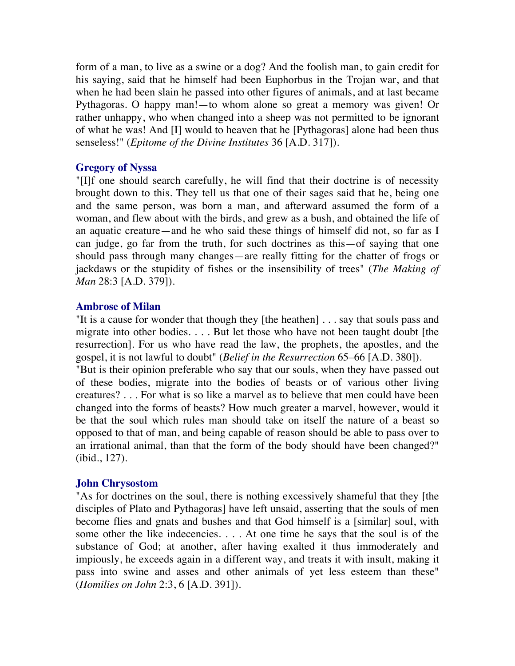form of a man, to live as a swine or a dog? And the foolish man, to gain credit for his saying, said that he himself had been Euphorbus in the Trojan war, and that when he had been slain he passed into other figures of animals, and at last became Pythagoras. O happy man!—to whom alone so great a memory was given! Or rather unhappy, who when changed into a sheep was not permitted to be ignorant of what he was! And [I] would to heaven that he [Pythagoras] alone had been thus senseless!" (*Epitome of the Divine Institutes* 36 [A.D. 317]).

#### **Gregory of Nyssa**

"[I]f one should search carefully, he will find that their doctrine is of necessity brought down to this. They tell us that one of their sages said that he, being one and the same person, was born a man, and afterward assumed the form of a woman, and flew about with the birds, and grew as a bush, and obtained the life of an aquatic creature—and he who said these things of himself did not, so far as I can judge, go far from the truth, for such doctrines as this—of saying that one should pass through many changes—are really fitting for the chatter of frogs or jackdaws or the stupidity of fishes or the insensibility of trees" (*The Making of Man* 28:3 [A.D. 379]).

#### **Ambrose of Milan**

"It is a cause for wonder that though they [the heathen] . . . say that souls pass and migrate into other bodies. . . . But let those who have not been taught doubt [the resurrection]. For us who have read the law, the prophets, the apostles, and the gospel, it is not lawful to doubt" (*Belief in the Resurrection* 65–66 [A.D. 380]).

"But is their opinion preferable who say that our souls, when they have passed out of these bodies, migrate into the bodies of beasts or of various other living creatures? . . . For what is so like a marvel as to believe that men could have been changed into the forms of beasts? How much greater a marvel, however, would it be that the soul which rules man should take on itself the nature of a beast so opposed to that of man, and being capable of reason should be able to pass over to an irrational animal, than that the form of the body should have been changed?" (ibid., 127).

#### **John Chrysostom**

"As for doctrines on the soul, there is nothing excessively shameful that they [the disciples of Plato and Pythagoras] have left unsaid, asserting that the souls of men become flies and gnats and bushes and that God himself is a [similar] soul, with some other the like indecencies. . . . At one time he says that the soul is of the substance of God; at another, after having exalted it thus immoderately and impiously, he exceeds again in a different way, and treats it with insult, making it pass into swine and asses and other animals of yet less esteem than these" (*Homilies on John* 2:3, 6 [A.D. 391]).